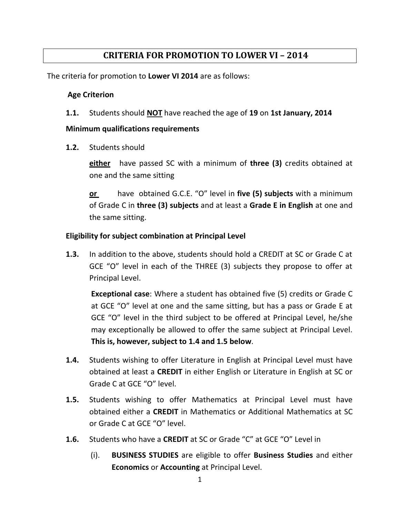## **CRITERIA FOR PROMOTION TO LOWER VI – 2014**

The criteria for promotion to **Lower VI 2014** are as follows:

## **Age Criterion**

**1.1.** Students should **NOT** have reached the age of **19** on **1st January, 2014**

## **Minimum qualifications requirements**

**1.2.** Students should

**either** have passed SC with a minimum of **three (3)** credits obtained at one and the same sitting

**or** have obtained G.C.E. "O" level in **five (5) subjects** with a minimum of Grade C in **three (3) subjects** and at least a **Grade E in English** at one and the same sitting.

## **Eligibility for subject combination at Principal Level**

**1.3.** In addition to the above, students should hold a CREDIT at SC or Grade C at GCE "O" level in each of the THREE (3) subjects they propose to offer at Principal Level.

**Exceptional case**: Where a student has obtained five (5) credits or Grade C at GCE "O" level at one and the same sitting, but has a pass or Grade E at GCE "O" level in the third subject to be offered at Principal Level, he/she may exceptionally be allowed to offer the same subject at Principal Level. **This is, however, subject to 1.4 and 1.5 below**.

- **1.4.** Students wishing to offer Literature in English at Principal Level must have obtained at least a **CREDIT** in either English or Literature in English at SC or Grade C at GCE "O" level.
- **1.5.** Students wishing to offer Mathematics at Principal Level must have obtained either a **CREDIT** in Mathematics or Additional Mathematics at SC or Grade C at GCE "O" level.
- **1.6.** Students who have a **CREDIT** at SC or Grade "C" at GCE "O" Level in
	- (i). **BUSINESS STUDIES** are eligible to offer **Business Studies** and either **Economics** or **Accounting** at Principal Level.